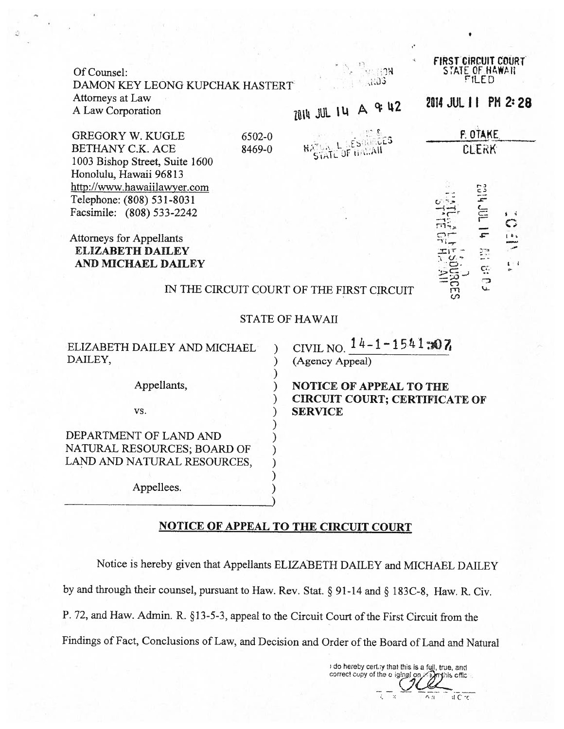| Of Counsel:<br>DAMON KEY LEONG KUPCHAK HASTERT               |                                                                        | <b>FIRST CIRCUIT COURT</b><br>STATE OF HAWAII<br>FILED |
|--------------------------------------------------------------|------------------------------------------------------------------------|--------------------------------------------------------|
| Attorneys at Law                                             |                                                                        |                                                        |
| A Law Corporation                                            | 2014 JUL 14 A & 42                                                     | 2014 JUL 1 1 PM 2: 28                                  |
| GREGORY W. KUGLE<br>6502-0                                   |                                                                        | <b>F. OTAKE</b>                                        |
| BETHANY C.K. ACE<br>8469-0<br>1003 Bishop Street, Suite 1600 | <b>NATURAL LESQUEGES</b>                                               | <b>CLERK</b>                                           |
| Honolulu, Hawaii 96813                                       |                                                                        |                                                        |
| http://www.hawaiilawyer.com<br>Telephone: (808) 531-8031     |                                                                        |                                                        |
| Facsimile: (808) 533-2242                                    |                                                                        | THE MISS<br>首を                                         |
|                                                              |                                                                        | $\mathbb{C}^n$                                         |
| <b>Attorneys for Appellants</b>                              |                                                                        | $\frac{1}{1}$                                          |
| <b>ELIZABETH DAILEY</b><br>AND MICHAEL DAILEY                |                                                                        | <b>EL BID.</b><br>$\pmb{t}=\pmb{t}$                    |
| IN THE CIRCUIT COURT OF THE FIRST CIRCUIT                    |                                                                        | بدا<br>ω                                               |
| <b>STATE OF HAWAII</b>                                       |                                                                        |                                                        |
| ELIZABETH DAILEY AND MICHAEL<br>DAILEY,                      | CIVIL NO. $14-1-1541=07$<br>(Agency Appeal)                            |                                                        |
| Appellants,                                                  | <b>NOTICE OF APPEAL TO THE</b><br><b>CIRCUIT COURT; CERTIFICATE OF</b> |                                                        |
| VS.                                                          | <b>SERVICE</b>                                                         |                                                        |
| DEPARTMENT OF LAND AND                                       |                                                                        |                                                        |
| NATURAL RESOURCES; BOARD OF                                  |                                                                        |                                                        |
|                                                              |                                                                        |                                                        |

NOTICE OF APPEAL TO THE CIRCUIT COURT

LAND AND NATURAL RESOURCES,  $\qquad$  )

) Appellees. )

Notice is hereby given that Appellants ELIZABETH DAILEY and MICHAEL DAILEY

by and through their counsel, pursuant to Haw. Rev. Stat. § 91-14 and § 183C-8, Haw. R. Civ.

P. 72, and Haw. Admin. R. §13-5-3, appeal to the Circuit Court of the First Circuit from the

Findings of Fact, Conclusions of Law, and Decision and Order of the Board of Land and Natural

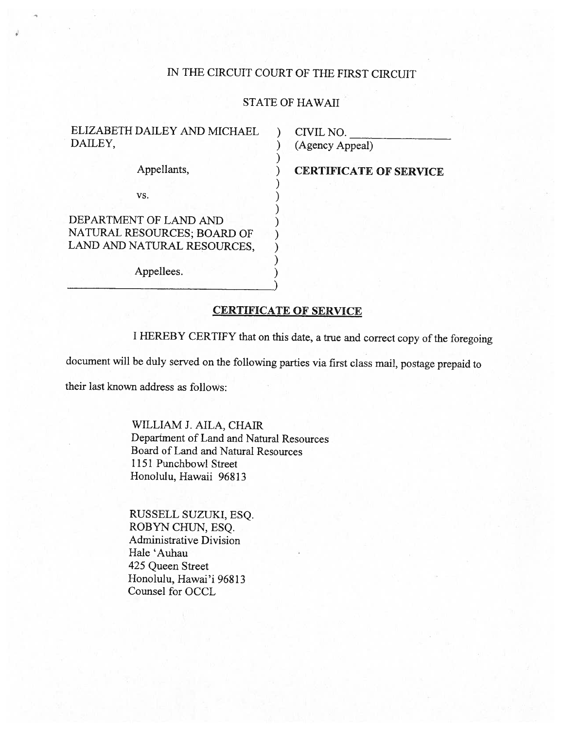## TN THE CIRCUIT COURT OF THE FIRST CIRCUIT

## STATE OF HAWAII

)

ELIZABETH DAILEY AND MICHAEL ) CIVIL NO.<br>DAILEY. (Agency An

 $\mathsf{v}\mathsf{s}.$  )

DEPARTMENT OF LAND AND<br>NATURAL RESOURCES; BOARD OF<br>LAND AND NATURAL RESOURCES,

Appellees.

) (Agency Appeal)

Appellants,  $CERTIFICATE OF SERVICE$ 

## CERTIFICATE OF SERVICE

<sup>I</sup> HEREBY CERTIFY that on this date, <sup>a</sup> true and correct copy of the foregoing

document will be duly served on the following parties via first class mail, postage prepaid to

their last known address as follows:

WILLIAM J. AILA, CHAIR Department of Land and Natural Resources Board of Land and Natural Resources 1151 Punchbowl Street Honolulu, Hawaii 96813

RUSSELL SUZUKI, ESQ. ROBYN CHUN, ESQ. Administrative Division Hale 'Auhau 425 Queen Street Honolulu, Hawai'i 96813 Counsel for OCCL